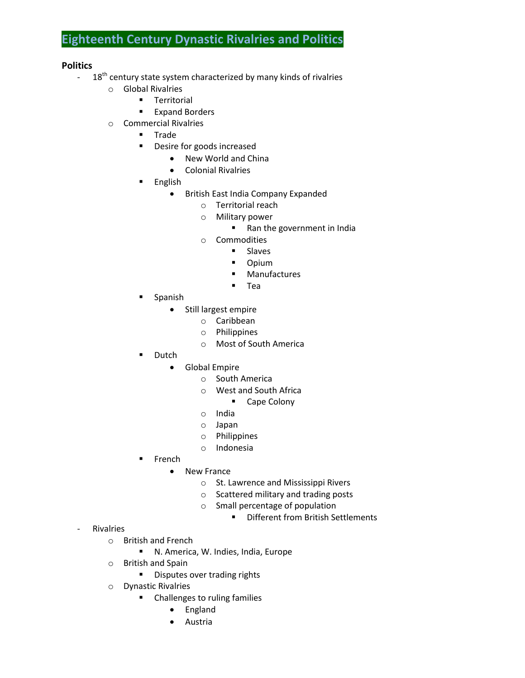# **Eighteenth Century Dynastic Rivalries and Politics**

#### **Politics**

- $-18<sup>th</sup>$  century state system characterized by many kinds of rivalries
	- o Global Rivalries
		- **Territorial**
		- **Expand Borders**
	- o Commercial Rivalries
		- **Trade**
		- **•** Desire for goods increased
			- New World and China
			- Colonial Rivalries
		- **English** 
			- British East India Company Expanded
				- o Territorial reach
				- o Military power
					- Ran the government in India
				- o Commodities
					- **Slaves**
					- **-** Opium
					- **■** Manufactures
					- **Tea**
		- Spanish
			- Still largest empire
				- o Caribbean
					- o Philippines
					- o Most of South America
		- Dutch
			- Global Empire
				- o South America
				- o West and South Africa
					- **Cape Colony**
				- o India
				- o Japan
				- o Philippines
				- o Indonesia
		- $F$ French
			- New France
				- o St. Lawrence and Mississippi Rivers
				- o Scattered military and trading posts
				- o Small percentage of population
					- **•** Different from British Settlements

- **Rivalries** 
	- o British and French
		- N. America, W. Indies, India, Europe
	- o British and Spain
		- **Disputes over trading rights**
	- o Dynastic Rivalries
		- **•** Challenges to ruling families
			- England
			- Austria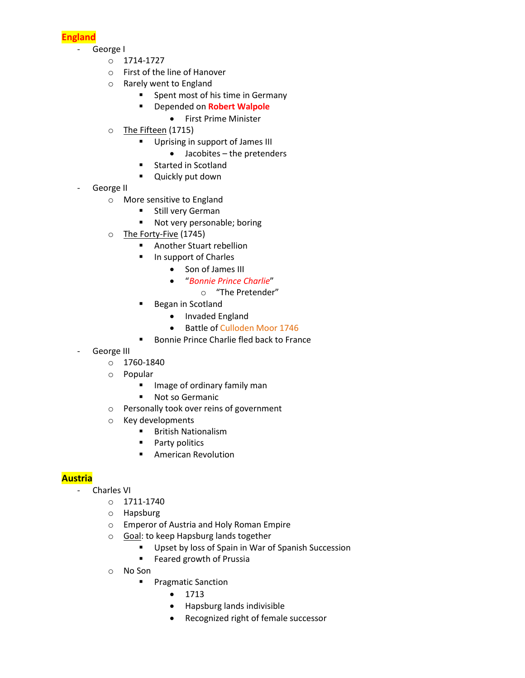**England**

- George I
	- o 1714-1727
	- o First of the line of Hanover
	- o Rarely went to England
		- **Spent most of his time in Germany**
		- Depended on **Robert Walpole**
			- First Prime Minister
	- o The Fifteen (1715)
		- **Uprising in support of James III** 
			- Jacobites the pretenders
		- **Started in Scotland**
		- **Quickly put down**
- George II
	- o More sensitive to England
		- **Still very German**
		- Not very personable; boring
	- o The Forty-Five (1745)
		- **Another Stuart rebellion**
		- **In support of Charles** 
			- Son of James III
				- "*Bonnie Prince Charlie*"
					- o "The Pretender"
		- **Began in Scotland** 
			- Invaded England
			- Battle of Culloden Moor 1746
		- **Bonnie Prince Charlie fled back to France**
- George III
	- o 1760-1840
	- o Popular
		- **If** Image of ordinary family man
		- **Not so Germanic**
	- o Personally took over reins of government
	- o Key developments
		- **British Nationalism**
		- **Party politics**
		- American Revolution

### **Austria**

- Charles VI
	- $O$  1711-1740
	- o Hapsburg
	- o Emperor of Austria and Holy Roman Empire
	- o Goal: to keep Hapsburg lands together
		- **Upset by loss of Spain in War of Spanish Succession**
		- **Feared growth of Prussia**
	- o No Son
		- **Pragmatic Sanction** 
			- $1713$
			- Hapsburg lands indivisible
			- Recognized right of female successor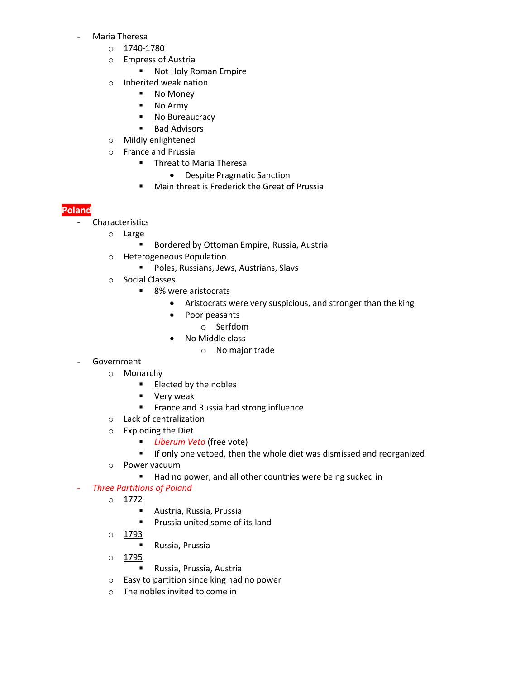- Maria Theresa
	- o 1740-1780
	- o Empress of Austria
		- **Not Holy Roman Empire**
	- o Inherited weak nation
		- No Money
		- No Army
		- No Bureaucracy
		- Bad Advisors
	- o Mildly enlightened
	- o France and Prussia
		- **Threat to Maria Theresa** 
			- Despite Pragmatic Sanction
		- Main threat is Frederick the Great of Prussia

## **Poland**

- Characteristics
	- o Large
		- **Bordered by Ottoman Empire, Russia, Austria**
	- o Heterogeneous Population
		- **Poles, Russians, Jews, Austrians, Slavs**
	- o Social Classes
		- 8% were aristocrats
			- Aristocrats were very suspicious, and stronger than the king
			- Poor peasants
				- o Serfdom
			- No Middle class
				- o No major trade
- **Government** 
	- o Monarchy
		- **Elected by the nobles**
		- **very weak**
		- **France and Russia had strong influence**
	- o Lack of centralization
	- o Exploding the Diet
		- *Liberum Veto* (free vote)
		- **If only one vetoed, then the whole diet was dismissed and reorganized**
	- o Power vacuum
		- Had no power, and all other countries were being sucked in

#### **Three Partitions of Poland**

- o 1772
	- Austria, Russia, Prussia
	- **Prussia united some of its land**
- o 1793
	- Russia, Prussia
- o 1795
	- Russia, Prussia, Austria
- o Easy to partition since king had no power
- o The nobles invited to come in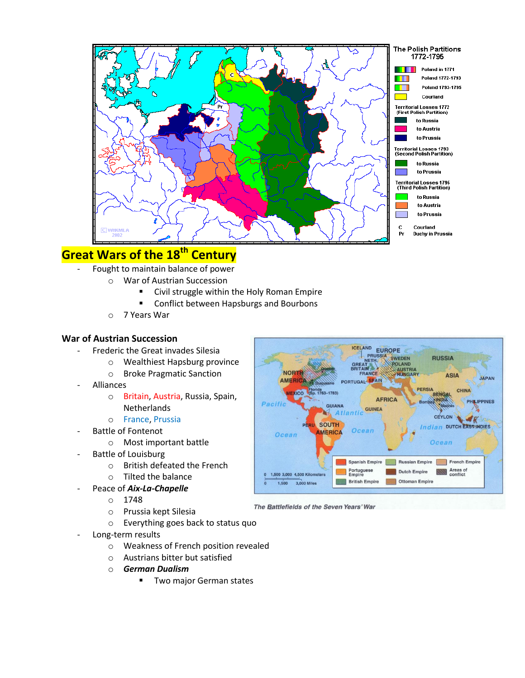

# **Great Wars of the 18th Century**

- Fought to maintain balance of power
	- o War of Austrian Succession
		- Civil struggle within the Holy Roman Empire
		- **E** Conflict between Hapsburgs and Bourbons
	- o 7 Years War

#### **War of Austrian Succession**

- Frederic the Great invades Silesia
	- o Wealthiest Hapsburg province
		- o Broke Pragmatic Sanction
- **Alliances** 
	- o Britain, Austria, Russia, Spain, Netherlands
	- o France, Prussia
- Battle of Fontenot
	- o Most important battle
- Battle of Louisburg
	- o British defeated the French
	- o Tilted the balance
- Peace of **Aix-La-Chapelle** 
	- o 1748
	- o Prussia kept Silesia
	- o Everything goes back to status quo
- Long-term results
	- o Weakness of French position revealed
	- o Austrians bitter but satisfied
	- o *German Dualism*
		- **Two major German states**



The Battlefields of the Seven Years' War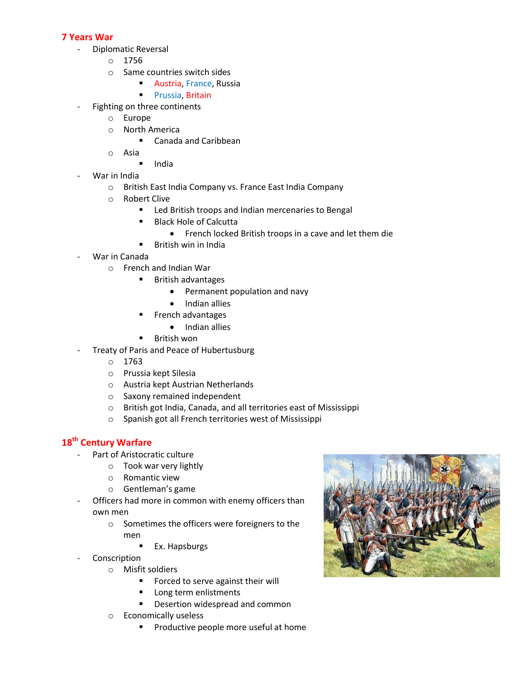#### **7 Years War**

- Diplomatic Reversal
	- o 1756
	- o Same countries switch sides
		- **Austria, France, Russia**
		- **Prussia, Britain**
- Fighting on three continents
	- o Europe
	- o North America
		- Canada and Caribbean
	- o Asia
		- $\blacksquare$  India
- War in India
	- o British East India Company vs. France East India Company
	- o Robert Clive
		- **EXECT** Led British troops and Indian mercenaries to Bengal
		- Black Hole of Calcutta
			- French locked British troops in a cave and let them die
		- **British win in India**
- War in Canada
	- o French and Indian War
		- **British advantages** 
			- Permanent population and navy
			- Indian allies
		- **French advantages** 
			- Indian allies
		- **British won**
	- Treaty of Paris and Peace of Hubertusburg
		- o 1763
		- o Prussia kept Silesia
		- o Austria kept Austrian Netherlands
		- o Saxony remained independent
		- o British got India, Canada, and all territories east of Mississippi
		- o Spanish got all French territories west of Mississippi

# **18th Century Warfare**

- Part of Aristocratic culture
	- o Took war very lightly
	- o Romantic view
	- o Gentleman's game
- Officers had more in common with enemy officers than own men
	- o Sometimes the officers were foreigners to the men
		- **Ex. Hapsburgs**
- **Conscription** 
	- o Misfit soldiers
		- **Forced to serve against their will**
		- **Long term enlistments**
		- **•** Desertion widespread and common
	- o Economically useless
		- **Productive people more useful at home**